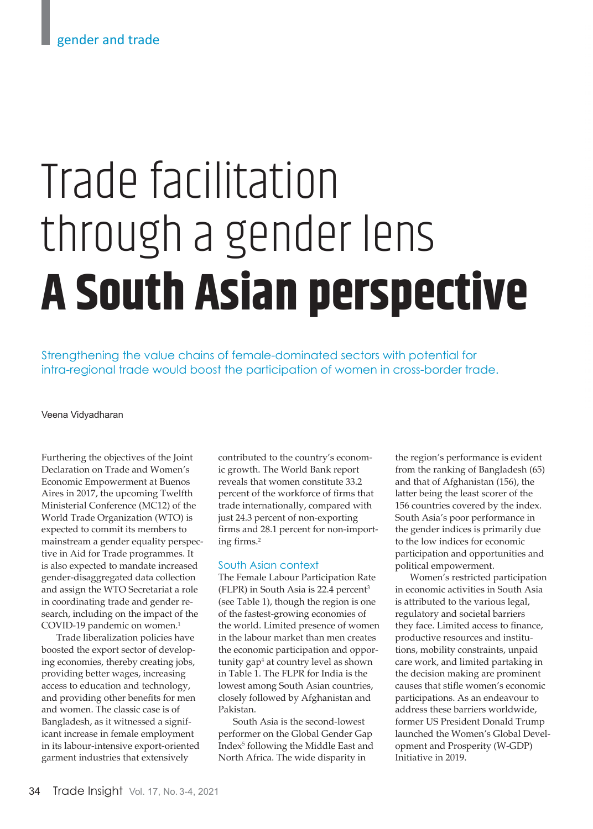# Trade facilitation through a gender lens **A South Asian perspective**

Strengthening the value chains of female-dominated sectors with potential for intra-regional trade would boost the participation of women in cross-border trade.

## Veena Vidyadharan

Furthering the objectives of the Joint Declaration on Trade and Women's Economic Empowerment at Buenos Aires in 2017, the upcoming Twelfth Ministerial Conference (MC12) of the World Trade Organization (WTO) is expected to commit its members to mainstream a gender equality perspective in Aid for Trade programmes. It is also expected to mandate increased gender-disaggregated data collection and assign the WTO Secretariat a role in coordinating trade and gender research, including on the impact of the COVID-19 pandemic on women.<sup>1</sup>

Trade liberalization policies have boosted the export sector of developing economies, thereby creating jobs, providing better wages, increasing access to education and technology, and providing other benefits for men and women. The classic case is of Bangladesh, as it witnessed a significant increase in female employment in its labour-intensive export-oriented garment industries that extensively

contributed to the country's economic growth. The World Bank report reveals that women constitute 33.2 percent of the workforce of firms that trade internationally, compared with just 24.3 percent of non-exporting firms and 28.1 percent for non-importing firms.<sup>2</sup>

## South Asian context

The Female Labour Participation Rate (FLPR) in South Asia is 22.4 percent3 (see Table 1), though the region is one of the fastest-growing economies of the world. Limited presence of women in the labour market than men creates the economic participation and opportunity gap<sup>4</sup> at country level as shown in Table 1. The FLPR for India is the lowest among South Asian countries, closely followed by Afghanistan and Pakistan.

South Asia is the second-lowest performer on the Global Gender Gap Index5 following the Middle East and North Africa. The wide disparity in

the region's performance is evident from the ranking of Bangladesh (65) and that of Afghanistan (156), the latter being the least scorer of the 156 countries covered by the index. South Asia's poor performance in the gender indices is primarily due to the low indices for economic participation and opportunities and political empowerment.

Women's restricted participation in economic activities in South Asia is attributed to the various legal, regulatory and societal barriers they face. Limited access to finance, productive resources and institutions, mobility constraints, unpaid care work, and limited partaking in the decision making are prominent causes that stifle women's economic participations. As an endeavour to address these barriers worldwide, former US President Donald Trump launched the Women's Global Development and Prosperity (W-GDP) Initiative in 2019.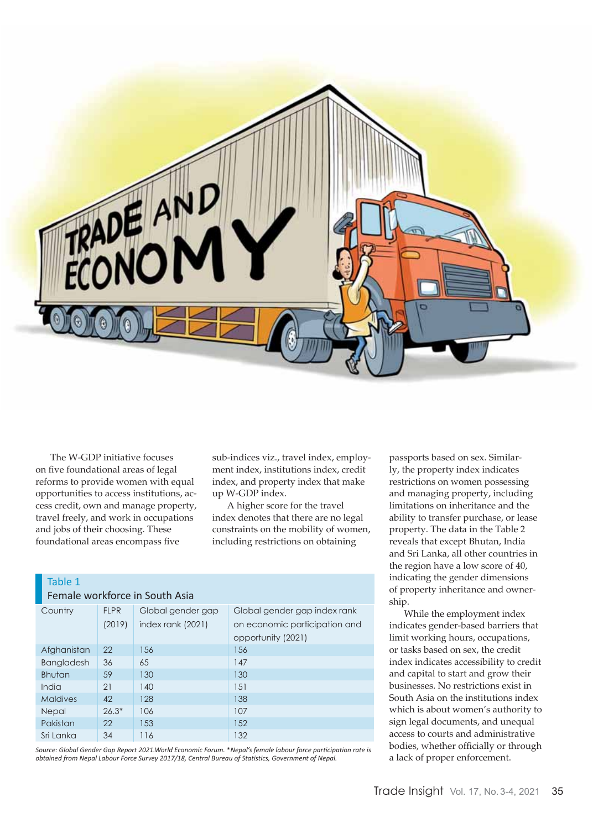

The W-GDP initiative focuses on five foundational areas of legal reforms to provide women with equal opportunities to access institutions, access credit, own and manage property, travel freely, and work in occupations and jobs of their choosing. These foundational areas encompass five

sub-indices viz., travel index, employment index, institutions index, credit index, and property index that make up W-GDP index.

A higher score for the travel index denotes that there are no legal constraints on the mobility of women, including restrictions on obtaining

| Table 1                        |  |
|--------------------------------|--|
| Female workforce in South Asia |  |

| Country           | <b>FLPR</b> | Global gender gap | Global gender gap index rank  |  |
|-------------------|-------------|-------------------|-------------------------------|--|
|                   | (2019)      | index rank (2021) | on economic participation and |  |
|                   |             |                   | opportunity (2021)            |  |
| Afghanistan       | 22          | 156               | 156                           |  |
| <b>Bangladesh</b> | 36          | 65                | 147                           |  |
| <b>Bhutan</b>     | 59          | 130               | 130                           |  |
| India             | 21          | 140               | 151                           |  |
| <b>Maldives</b>   | 42          | 128               | 138                           |  |
| Nepal             | $26.3*$     | 106               | 107                           |  |
| Pakistan          | 22          | 153               | 152                           |  |
| Sri Lanka         | 34          | 116               | 132                           |  |

*Source: Global Gender Gap Report 2021.World Economic Forum.* \**Nepal's female labour force participation rate is obtained from Nepal Labour Force Survey 2017/18, Central Bureau of Statistics, Government of Nepal.*

passports based on sex. Similarly, the property index indicates restrictions on women possessing and managing property, including limitations on inheritance and the ability to transfer purchase, or lease property. The data in the Table 2 reveals that except Bhutan, India and Sri Lanka, all other countries in the region have a low score of 40, indicating the gender dimensions of property inheritance and ownership.

While the employment index indicates gender-based barriers that limit working hours, occupations, or tasks based on sex, the credit index indicates accessibility to credit and capital to start and grow their businesses. No restrictions exist in South Asia on the institutions index which is about women's authority to sign legal documents, and unequal access to courts and administrative bodies, whether officially or through a lack of proper enforcement.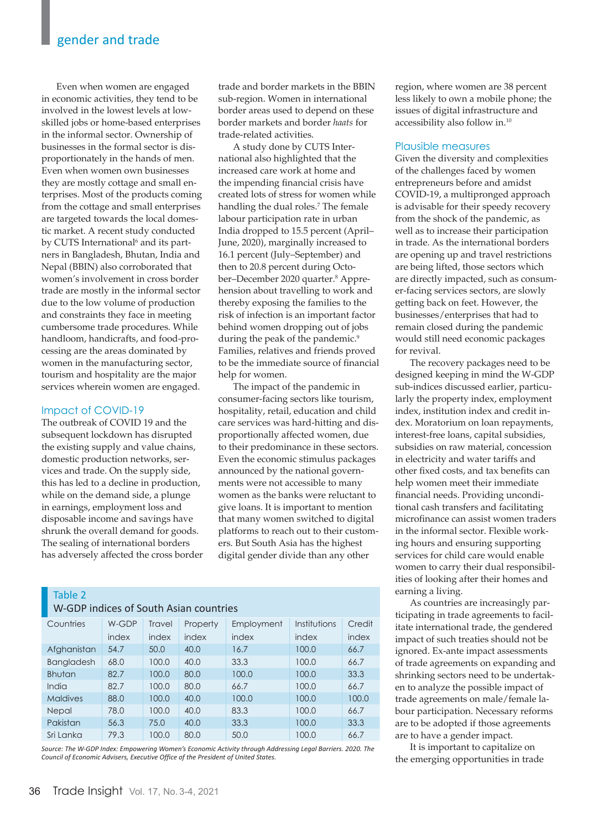Even when women are engaged in economic activities, they tend to be involved in the lowest levels at lowskilled jobs or home-based enterprises in the informal sector. Ownership of businesses in the formal sector is disproportionately in the hands of men. Even when women own businesses they are mostly cottage and small enterprises. Most of the products coming from the cottage and small enterprises are targeted towards the local domestic market. A recent study conducted by CUTS International<sup>6</sup> and its partners in Bangladesh, Bhutan, India and Nepal (BBIN) also corroborated that women's involvement in cross border trade are mostly in the informal sector due to the low volume of production and constraints they face in meeting cumbersome trade procedures. While handloom, handicrafts, and food-processing are the areas dominated by women in the manufacturing sector, tourism and hospitality are the major services wherein women are engaged.

# Impact of COVID-19

The outbreak of COVID 19 and the subsequent lockdown has disrupted the existing supply and value chains, domestic production networks, services and trade. On the supply side, this has led to a decline in production, while on the demand side, a plunge in earnings, employment loss and disposable income and savings have shrunk the overall demand for goods. The sealing of international borders has adversely affected the cross border trade and border markets in the BBIN sub-region. Women in international border areas used to depend on these border markets and border *haats* for trade-related activities.

A study done by CUTS International also highlighted that the increased care work at home and the impending financial crisis have created lots of stress for women while handling the dual roles.7 The female labour participation rate in urban India dropped to 15.5 percent (April– June, 2020), marginally increased to 16.1 percent (July–September) and then to 20.8 percent during October–December 2020 quarter.<sup>8</sup> Apprehension about travelling to work and thereby exposing the families to the risk of infection is an important factor behind women dropping out of jobs during the peak of the pandemic.<sup>9</sup> Families, relatives and friends proved to be the immediate source of financial help for women.

The impact of the pandemic in consumer-facing sectors like tourism, hospitality, retail, education and child care services was hard-hitting and disproportionally affected women, due to their predominance in these sectors. Even the economic stimulus packages announced by the national governments were not accessible to many women as the banks were reluctant to give loans. It is important to mention that many women switched to digital platforms to reach out to their customers. But South Asia has the highest digital gender divide than any other

# Table 2

| W-GDP indices of South Asian countries |       |        |          |            |              |        |  |  |  |
|----------------------------------------|-------|--------|----------|------------|--------------|--------|--|--|--|
| Countries                              | W-GDP | Travel | Property | Employment | Institutions | Credit |  |  |  |
|                                        | index | index  | index    | index      | index        | index  |  |  |  |
| Afghanistan                            | 54.7  | 50.0   | 40.0     | 16.7       | 100.0        | 66.7   |  |  |  |
| <b>Bangladesh</b>                      | 68.0  | 100.0  | 40.0     | 33.3       | 100.0        | 66.7   |  |  |  |
| <b>Bhutan</b>                          | 82.7  | 100.0  | 80.0     | 100.0      | 100.0        | 33.3   |  |  |  |
| India                                  | 82.7  | 100.0  | 80.0     | 66.7       | 100.0        | 66.7   |  |  |  |
| <b>Maldives</b>                        | 88.0  | 100.0  | 40.0     | 100.0      | 100.0        | 100.0  |  |  |  |
| Nepal                                  | 78.0  | 100.0  | 40.0     | 83.3       | 100.0        | 66.7   |  |  |  |
| Pakistan                               | 56.3  | 75.0   | 40.0     | 33.3       | 100.0        | 33.3   |  |  |  |
| Sri Lanka                              | 79.3  | 100.0  | 80.0     | 50.0       | 100.0        | 66.7   |  |  |  |

*Source: The W-GDP Index: Empowering Women's Economic Activity through Addressing Legal Barriers. 2020. The Council of Economic Advisers, Executive Office of the President of United States.*

region, where women are 38 percent less likely to own a mobile phone; the issues of digital infrastructure and accessibility also follow in.10

# Plausible measures

Given the diversity and complexities of the challenges faced by women entrepreneurs before and amidst COVID-19, a multipronged approach is advisable for their speedy recovery from the shock of the pandemic, as well as to increase their participation in trade. As the international borders are opening up and travel restrictions are being lifted, those sectors which are directly impacted, such as consumer-facing services sectors, are slowly getting back on feet. However, the businesses/enterprises that had to remain closed during the pandemic would still need economic packages for revival.

The recovery packages need to be designed keeping in mind the W-GDP sub-indices discussed earlier, particularly the property index, employment index, institution index and credit index. Moratorium on loan repayments, interest-free loans, capital subsidies, subsidies on raw material, concession in electricity and water tariffs and other fixed costs, and tax benefits can help women meet their immediate financial needs. Providing unconditional cash transfers and facilitating microfinance can assist women traders in the informal sector. Flexible working hours and ensuring supporting services for child care would enable women to carry their dual responsibilities of looking after their homes and earning a living.

As countries are increasingly participating in trade agreements to facilitate international trade, the gendered impact of such treaties should not be ignored. Ex-ante impact assessments of trade agreements on expanding and shrinking sectors need to be undertaken to analyze the possible impact of trade agreements on male/female labour participation. Necessary reforms are to be adopted if those agreements are to have a gender impact.

It is important to capitalize on the emerging opportunities in trade